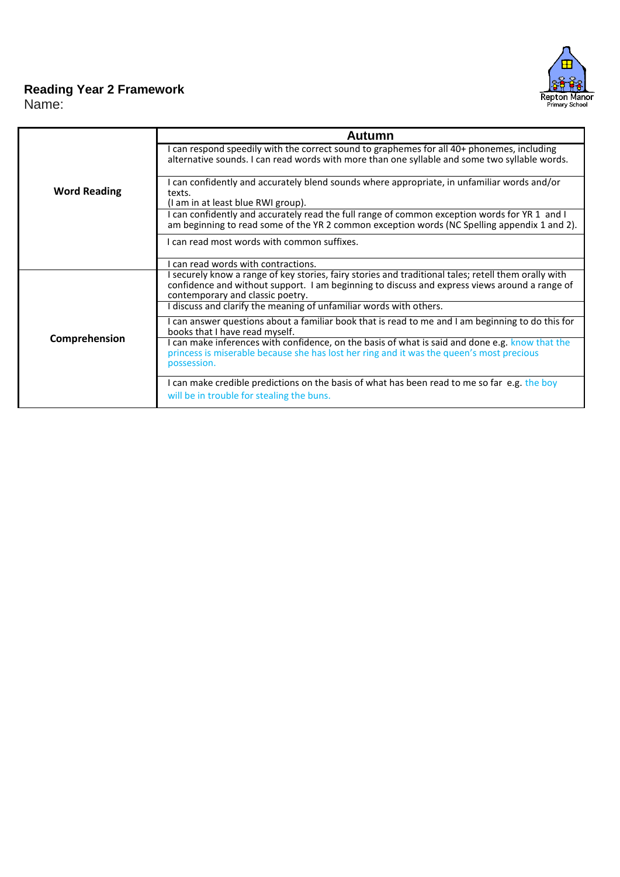

## **Reading Year 2 Framework**

Name:

|                     | Autumn                                                                                                                                                                                                                                    |  |
|---------------------|-------------------------------------------------------------------------------------------------------------------------------------------------------------------------------------------------------------------------------------------|--|
|                     | I can respond speedily with the correct sound to graphemes for all 40+ phonemes, including<br>alternative sounds. I can read words with more than one syllable and some two syllable words.                                               |  |
| <b>Word Reading</b> | I can confidently and accurately blend sounds where appropriate, in unfamiliar words and/or<br>texts.<br>(I am in at least blue RWI group).                                                                                               |  |
|                     | I can confidently and accurately read the full range of common exception words for YR 1 and I<br>am beginning to read some of the YR 2 common exception words (NC Spelling appendix 1 and 2).                                             |  |
|                     | I can read most words with common suffixes.                                                                                                                                                                                               |  |
|                     | I can read words with contractions.                                                                                                                                                                                                       |  |
|                     | I securely know a range of key stories, fairy stories and traditional tales; retell them orally with<br>confidence and without support. I am beginning to discuss and express views around a range of<br>contemporary and classic poetry. |  |
|                     | I discuss and clarify the meaning of unfamiliar words with others.                                                                                                                                                                        |  |
|                     | I can answer questions about a familiar book that is read to me and I am beginning to do this for<br>books that I have read myself.                                                                                                       |  |
| Comprehension       | I can make inferences with confidence, on the basis of what is said and done e.g. know that the<br>princess is miserable because she has lost her ring and it was the queen's most precious<br>possession.                                |  |
|                     | I can make credible predictions on the basis of what has been read to me so far e.g. the boy<br>will be in trouble for stealing the buns.                                                                                                 |  |